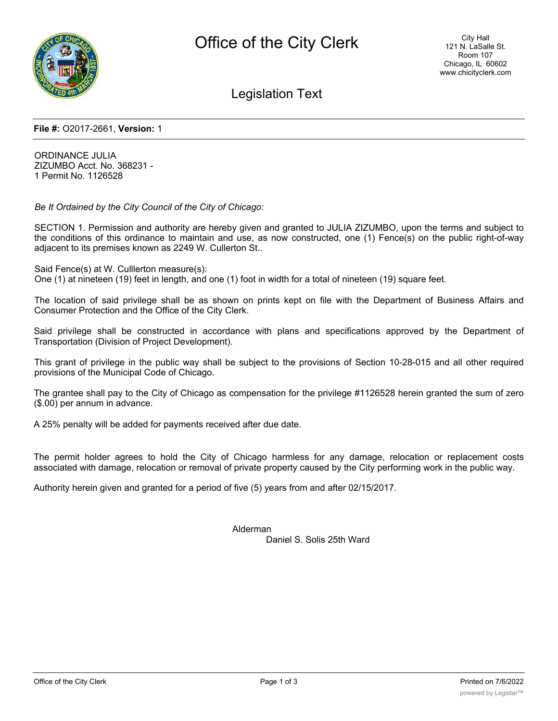

Legislation Text

## **File #:** O2017-2661, **Version:** 1

ORDINANCE JULIA ZIZUMBO Acct. No. 368231 - 1 Permit No. 1126528

*Be It Ordained by the City Council of the City of Chicago:*

SECTION 1. Permission and authority are hereby given and granted to JULIA ZIZUMBO, upon the terms and subject to the conditions of this ordinance to maintain and use, as now constructed, one (1) Fence(s) on the public right-of-way adjacent to its premises known as 2249 W. Cullerton St..

Said Fence(s) at W. Culllerton measure(s):

One (1) at nineteen (19) feet in length, and one (1) foot in width for a total of nineteen (19) square feet.

The location of said privilege shall be as shown on prints kept on file with the Department of Business Affairs and Consumer Protection and the Office of the City Clerk.

Said privilege shall be constructed in accordance with plans and specifications approved by the Department of Transportation (Division of Project Development).

This grant of privilege in the public way shall be subject to the provisions of Section 10-28-015 and all other required provisions of the Municipal Code of Chicago.

The grantee shall pay to the City of Chicago as compensation for the privilege #1126528 herein granted the sum of zero (\$.00) per annum in advance.

A 25% penalty will be added for payments received after due date.

The permit holder agrees to hold the City of Chicago harmless for any damage, relocation or replacement costs associated with damage, relocation or removal of private property caused by the City performing work in the public way.

Authority herein given and granted for a period of five (5) years from and after 02/15/2017.

Alderman Daniel S. Solis 25th Ward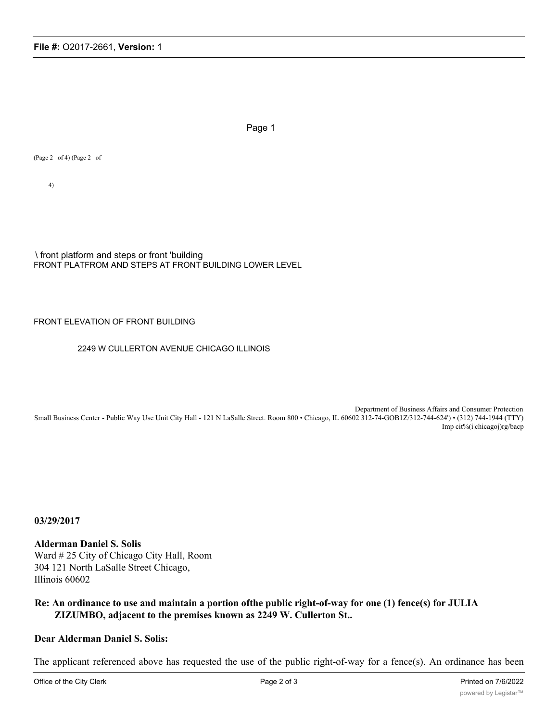Page 1

(Page 2 of 4) (Page 2 of

4)

\ front platform and steps or front 'building FRONT PLATFROM AND STEPS AT FRONT BUILDING LOWER LEVEL

### FRONT ELEVATION OF FRONT BUILDING

#### 2249 W CULLERTON AVENUE CHICAGO ILLINOIS

Department of Business Affairs and Consumer Protection Small Business Center - Public Way Use Unit City Hall - 121 N LaSalle Street. Room 800 • Chicago, IL 60602 312-74-GOB1Z/312-744-624') • (312) 744-1944 (TTY) Imp cit%(i|chicagoj)rg/bacp

**03/29/2017**

**Alderman Daniel S. Solis** Ward # 25 City of Chicago City Hall, Room 304 121 North LaSalle Street Chicago, Illinois 60602

# **Re: An ordinance to use and maintain a portion ofthe public right-of-way for one (1) fence(s) for JULIA ZIZUMBO, adjacent to the premises known as 2249 W. Cullerton St..**

# **Dear Alderman Daniel S. Solis:**

The applicant referenced above has requested the use of the public right-of-way for a fence(s). An ordinance has been